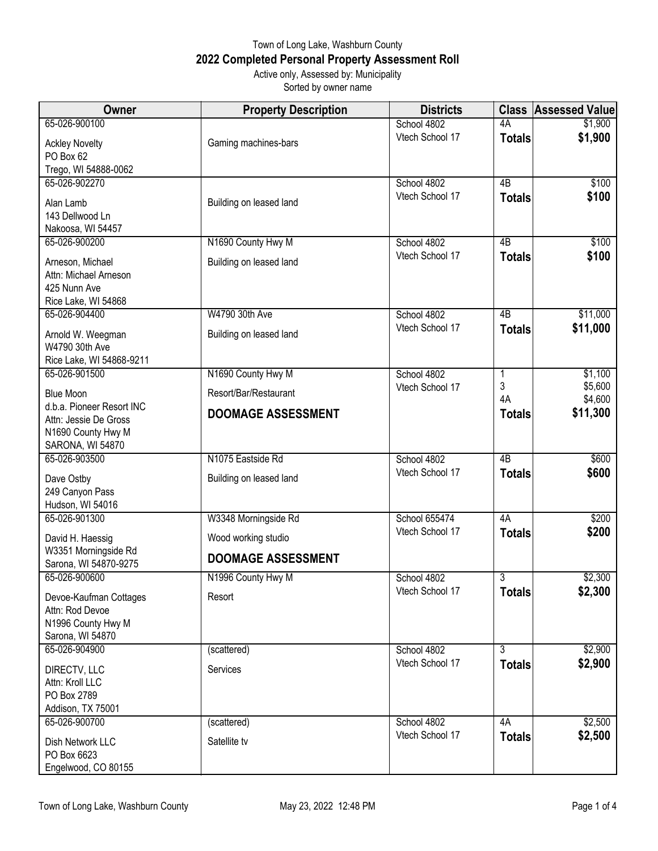## Town of Long Lake, Washburn County **2022 Completed Personal Property Assessment Roll** Active only, Assessed by: Municipality

Sorted by owner name

| Owner                                              | <b>Property Description</b> | <b>Districts</b>               | <b>Class</b>       | <b>Assessed Value</b> |
|----------------------------------------------------|-----------------------------|--------------------------------|--------------------|-----------------------|
| 65-026-900100                                      |                             | School 4802                    | 4A                 | \$1,900               |
| <b>Ackley Novelty</b>                              | Gaming machines-bars        | Vtech School 17                | <b>Totals</b>      | \$1,900               |
| PO Box 62                                          |                             |                                |                    |                       |
| Trego, WI 54888-0062                               |                             |                                |                    |                       |
| 65-026-902270                                      |                             | School 4802                    | 4B                 | \$100                 |
| Alan Lamb                                          | Building on leased land     | Vtech School 17                | <b>Totals</b>      | \$100                 |
| 143 Dellwood Ln                                    |                             |                                |                    |                       |
| Nakoosa, WI 54457                                  |                             |                                |                    |                       |
| 65-026-900200                                      | N1690 County Hwy M          | School 4802                    | 4B                 | \$100                 |
| Arneson, Michael                                   | Building on leased land     | Vtech School 17                | <b>Totals</b>      | \$100                 |
| Attn: Michael Arneson                              |                             |                                |                    |                       |
| 425 Nunn Ave                                       |                             |                                |                    |                       |
| Rice Lake, WI 54868<br>65-026-904400               | W4790 30th Ave              | School 4802                    | 4B                 | \$11,000              |
|                                                    |                             | Vtech School 17                | <b>Totals</b>      | \$11,000              |
| Arnold W. Weegman                                  | Building on leased land     |                                |                    |                       |
| W4790 30th Ave                                     |                             |                                |                    |                       |
| Rice Lake, WI 54868-9211<br>65-026-901500          | N1690 County Hwy M          | School 4802                    | 1                  | \$1,100               |
|                                                    |                             | Vtech School 17                | 3                  | \$5,600               |
| <b>Blue Moon</b>                                   | Resort/Bar/Restaurant       |                                | 4A                 | \$4,600               |
| d.b.a. Pioneer Resort INC<br>Attn: Jessie De Gross | <b>DOOMAGE ASSESSMENT</b>   |                                | <b>Totals</b>      | \$11,300              |
| N1690 County Hwy M                                 |                             |                                |                    |                       |
| SARONA, WI 54870                                   |                             |                                |                    |                       |
| 65-026-903500                                      | N1075 Eastside Rd           | School 4802                    | 4 <sub>B</sub>     | \$600                 |
| Dave Ostby                                         | Building on leased land     | Vtech School 17                | <b>Totals</b>      | \$600                 |
| 249 Canyon Pass                                    |                             |                                |                    |                       |
| Hudson, WI 54016                                   |                             |                                |                    |                       |
| 65-026-901300                                      | W3348 Morningside Rd        | School 655474                  | 4A                 | \$200                 |
| David H. Haessig                                   | Wood working studio         | Vtech School 17                | <b>Totals</b>      | \$200                 |
| W3351 Morningside Rd                               |                             |                                |                    |                       |
| Sarona, WI 54870-9275                              | <b>DOOMAGE ASSESSMENT</b>   |                                |                    |                       |
| 65-026-900600                                      | N1996 County Hwy M          | School 4802                    | $\overline{3}$     | \$2,300               |
| Devoe-Kaufman Cottages                             | Resort                      | Vtech School 17                | <b>Totals</b>      | \$2,300               |
| Attn: Rod Devoe                                    |                             |                                |                    |                       |
| N1996 County Hwy M                                 |                             |                                |                    |                       |
| Sarona, WI 54870                                   |                             |                                |                    |                       |
| 65-026-904900                                      | (scattered)                 | School 4802<br>Vtech School 17 | 3<br><b>Totals</b> | \$2,900<br>\$2,900    |
| DIRECTV, LLC                                       | Services                    |                                |                    |                       |
| Attn: Kroll LLC                                    |                             |                                |                    |                       |
| PO Box 2789<br>Addison, TX 75001                   |                             |                                |                    |                       |
| 65-026-900700                                      | (scattered)                 | School 4802                    | 4A                 | \$2,500               |
|                                                    |                             | Vtech School 17                | <b>Totals</b>      | \$2,500               |
| Dish Network LLC<br>PO Box 6623                    | Satellite tv                |                                |                    |                       |
| Engelwood, CO 80155                                |                             |                                |                    |                       |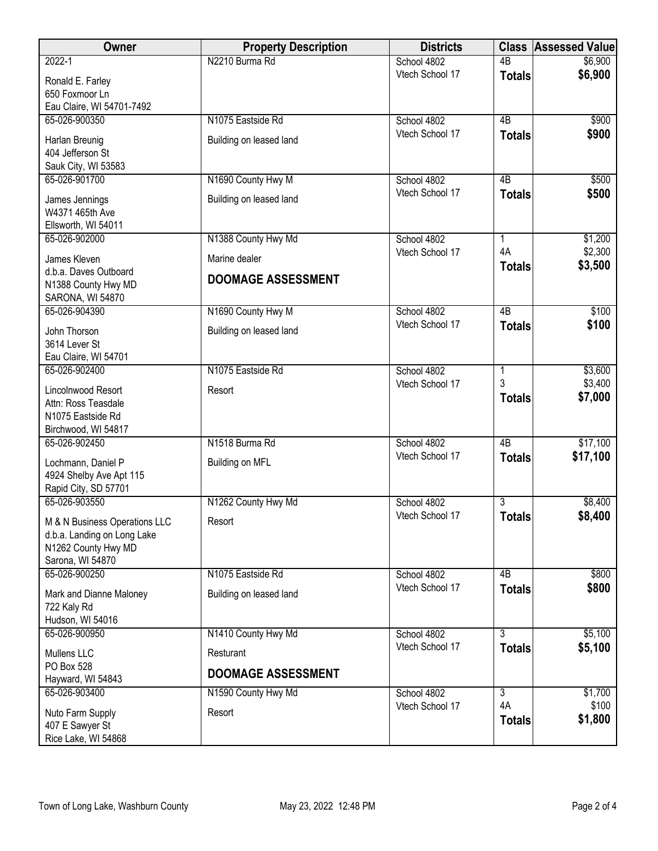| Owner                         | <b>Property Description</b> | <b>Districts</b> | <b>Class</b>         | <b>Assessed Value</b> |
|-------------------------------|-----------------------------|------------------|----------------------|-----------------------|
| $2022 - 1$                    | N2210 Burma Rd              | School 4802      | $\overline{AB}$      | \$6,900               |
| Ronald E. Farley              |                             | Vtech School 17  | <b>Totals</b>        | \$6,900               |
| 650 Foxmoor Ln                |                             |                  |                      |                       |
| Eau Claire, WI 54701-7492     |                             |                  |                      |                       |
| 65-026-900350                 | N1075 Eastside Rd           | School 4802      | 4B                   | \$900                 |
| Harlan Breunig                | Building on leased land     | Vtech School 17  | <b>Totals</b>        | \$900                 |
| 404 Jefferson St              |                             |                  |                      |                       |
| Sauk City, WI 53583           |                             |                  |                      |                       |
| 65-026-901700                 | N1690 County Hwy M          | School 4802      | 4B                   | \$500                 |
| James Jennings                | Building on leased land     | Vtech School 17  | <b>Totals</b>        | \$500                 |
| W4371 465th Ave               |                             |                  |                      |                       |
| Ellsworth, WI 54011           |                             |                  |                      |                       |
| 65-026-902000                 | N1388 County Hwy Md         | School 4802      | 1                    | \$1,200               |
| James Kleven                  | Marine dealer               | Vtech School 17  | 4A                   | \$2,300               |
| d.b.a. Daves Outboard         |                             |                  | <b>Totals</b>        | \$3,500               |
| N1388 County Hwy MD           | DOOMAGE ASSESSMENT          |                  |                      |                       |
| SARONA, WI 54870              |                             |                  |                      |                       |
| 65-026-904390                 | N1690 County Hwy M          | School 4802      | $\overline{AB}$      | \$100                 |
| John Thorson                  | Building on leased land     | Vtech School 17  | <b>Totals</b>        | \$100                 |
| 3614 Lever St                 |                             |                  |                      |                       |
| Eau Claire, WI 54701          |                             |                  |                      |                       |
| 65-026-902400                 | N1075 Eastside Rd           | School 4802      | 1                    | \$3,600               |
| Lincolnwood Resort            | Resort                      | Vtech School 17  | 3                    | \$3,400               |
| Attn: Ross Teasdale           |                             |                  | <b>Totals</b>        | \$7,000               |
| N1075 Eastside Rd             |                             |                  |                      |                       |
| Birchwood, WI 54817           |                             |                  |                      |                       |
| 65-026-902450                 | N1518 Burma Rd              | School 4802      | $\overline{AB}$      | \$17,100              |
| Lochmann, Daniel P            | Building on MFL             | Vtech School 17  | <b>Totals</b>        | \$17,100              |
| 4924 Shelby Ave Apt 115       |                             |                  |                      |                       |
| Rapid City, SD 57701          |                             |                  |                      |                       |
| 65-026-903550                 | N1262 County Hwy Md         | School 4802      | 3                    | \$8,400               |
| M & N Business Operations LLC | Resort                      | Vtech School 17  | <b>Totals</b>        | \$8,400               |
| d.b.a. Landing on Long Lake   |                             |                  |                      |                       |
| N1262 County Hwy MD           |                             |                  |                      |                       |
| Sarona, WI 54870              |                             |                  |                      |                       |
| 65-026-900250                 | N1075 Eastside Rd           | School 4802      | 4B                   | \$800                 |
| Mark and Dianne Maloney       | Building on leased land     | Vtech School 17  | <b>Totals</b>        | \$800                 |
| 722 Kaly Rd                   |                             |                  |                      |                       |
| Hudson, WI 54016              |                             |                  |                      |                       |
| 65-026-900950                 | N1410 County Hwy Md         | School 4802      | 3                    | \$5,100               |
| Mullens LLC                   | Resturant                   | Vtech School 17  | <b>Totals</b>        | \$5,100               |
| PO Box 528                    | <b>DOOMAGE ASSESSMENT</b>   |                  |                      |                       |
| Hayward, WI 54843             |                             |                  |                      |                       |
| 65-026-903400                 | N1590 County Hwy Md         | School 4802      | $\overline{3}$<br>4A | \$1,700               |
| Nuto Farm Supply              | Resort                      | Vtech School 17  |                      | \$100<br>\$1,800      |
| 407 E Sawyer St               |                             |                  | <b>Totals</b>        |                       |
| Rice Lake, WI 54868           |                             |                  |                      |                       |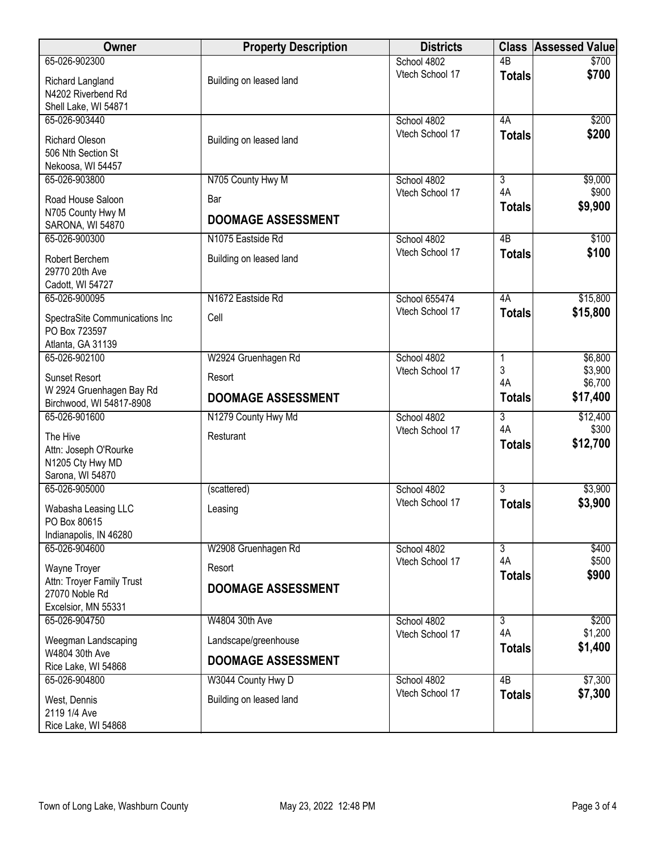| <b>Owner</b>                                                              | <b>Property Description</b> | <b>Districts</b> | <b>Class</b>         | Assessed Value      |
|---------------------------------------------------------------------------|-----------------------------|------------------|----------------------|---------------------|
| 65-026-902300                                                             |                             | School 4802      | 4B                   | \$700               |
| Richard Langland<br>N4202 Riverbend Rd                                    | Building on leased land     | Vtech School 17  | <b>Totals</b>        | \$700               |
| Shell Lake, WI 54871<br>65-026-903440                                     |                             | School 4802      | 4A                   | \$200               |
| Richard Oleson<br>506 Nth Section St<br>Nekoosa, WI 54457                 | Building on leased land     | Vtech School 17  | <b>Totals</b>        | \$200               |
| 65-026-903800                                                             | N705 County Hwy M           | School 4802      | $\overline{3}$       | \$9,000             |
| Road House Saloon<br>N705 County Hwy M                                    | Bar                         | Vtech School 17  | 4A<br><b>Totals</b>  | \$900<br>\$9,900    |
| SARONA, WI 54870                                                          | <b>DOOMAGE ASSESSMENT</b>   |                  |                      |                     |
| 65-026-900300                                                             | N1075 Eastside Rd           | School 4802      | 4B                   | \$100               |
| Robert Berchem<br>29770 20th Ave<br>Cadott, WI 54727                      | Building on leased land     | Vtech School 17  | <b>Totals</b>        | \$100               |
| 65-026-900095                                                             | N1672 Eastside Rd           | School 655474    | 4A                   | \$15,800            |
| SpectraSite Communications Inc<br>PO Box 723597<br>Atlanta, GA 31139      | Cell                        | Vtech School 17  | <b>Totals</b>        | \$15,800            |
| 65-026-902100                                                             | W2924 Gruenhagen Rd         | School 4802      | 1                    | \$6,800             |
| <b>Sunset Resort</b>                                                      | Resort                      | Vtech School 17  | 3<br>4A              | \$3,900             |
| W 2924 Gruenhagen Bay Rd<br>Birchwood, WI 54817-8908                      | <b>DOOMAGE ASSESSMENT</b>   |                  | <b>Totals</b>        | \$6,700<br>\$17,400 |
| 65-026-901600                                                             | N1279 County Hwy Md         | School 4802      | $\overline{3}$<br>4A | \$12,400            |
| The Hive<br>Attn: Joseph O'Rourke<br>N1205 Cty Hwy MD<br>Sarona, WI 54870 | Resturant                   | Vtech School 17  | <b>Totals</b>        | \$300<br>\$12,700   |
| 65-026-905000                                                             | (scattered)                 | School 4802      | $\overline{3}$       | \$3,900             |
| Wabasha Leasing LLC<br>PO Box 80615<br>Indianapolis, IN 46280             | Leasing                     | Vtech School 17  | <b>Totals</b>        | \$3,900             |
| 65-026-904600                                                             | W2908 Gruenhagen Rd         | School 4802      | $\overline{3}$       | \$400               |
| Wayne Troyer                                                              | Resort                      | Vtech School 17  | 4A                   | \$500<br>\$900      |
| Attn: Troyer Family Trust<br>27070 Noble Rd<br>Excelsior, MN 55331        | <b>DOOMAGE ASSESSMENT</b>   |                  | <b>Totals</b>        |                     |
| 65-026-904750                                                             | W4804 30th Ave              | School 4802      | $\overline{3}$       | \$200               |
| Weegman Landscaping                                                       | Landscape/greenhouse        | Vtech School 17  | 4A<br><b>Totals</b>  | \$1,200<br>\$1,400  |
| W4804 30th Ave<br>Rice Lake, WI 54868                                     | <b>DOOMAGE ASSESSMENT</b>   |                  |                      |                     |
| 65-026-904800                                                             | W3044 County Hwy D          | School 4802      | $\overline{AB}$      | \$7,300             |
| West, Dennis<br>2119 1/4 Ave<br>Rice Lake, WI 54868                       | Building on leased land     | Vtech School 17  | <b>Totals</b>        | \$7,300             |